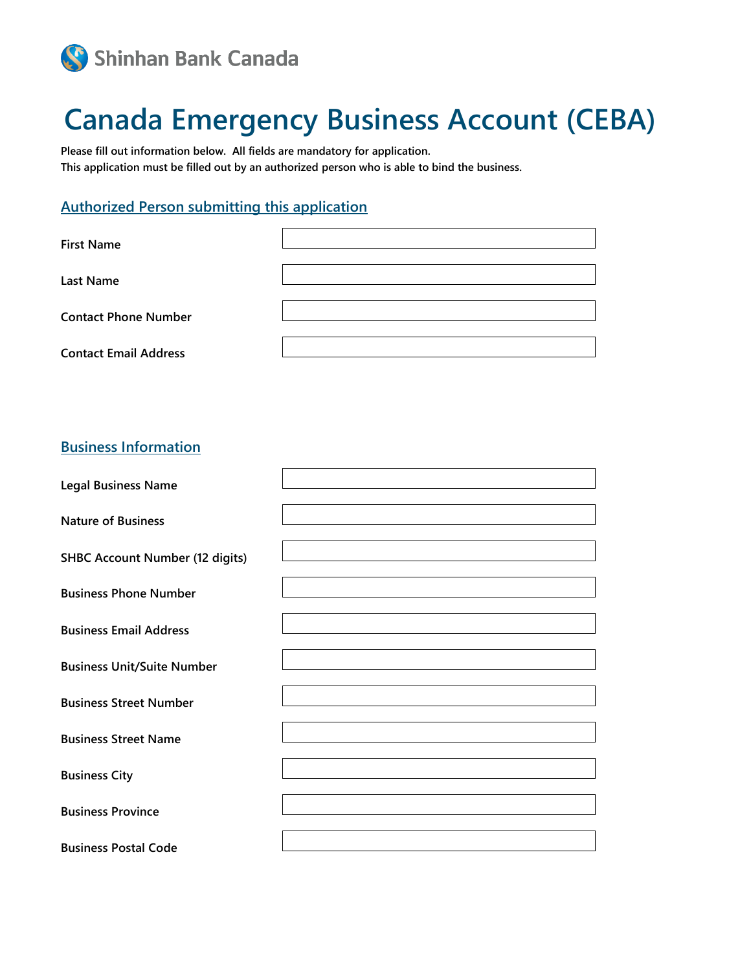

# **Canada Emergency Business Account (CEBA)**

**Please fill out information below. All fields are mandatory for application. This application must be filled out by an authorized person who is able to bind the business.**

### **Authorized Person submitting this application**

| <b>First Name</b>            |  |
|------------------------------|--|
| <b>Last Name</b>             |  |
| <b>Contact Phone Number</b>  |  |
| <b>Contact Email Address</b> |  |

## **Business Information**

| <b>Legal Business Name</b>             |  |
|----------------------------------------|--|
| <b>Nature of Business</b>              |  |
| <b>SHBC Account Number (12 digits)</b> |  |
| <b>Business Phone Number</b>           |  |
| <b>Business Email Address</b>          |  |
| <b>Business Unit/Suite Number</b>      |  |
| <b>Business Street Number</b>          |  |
| <b>Business Street Name</b>            |  |
| <b>Business City</b>                   |  |
| <b>Business Province</b>               |  |
| <b>Business Postal Code</b>            |  |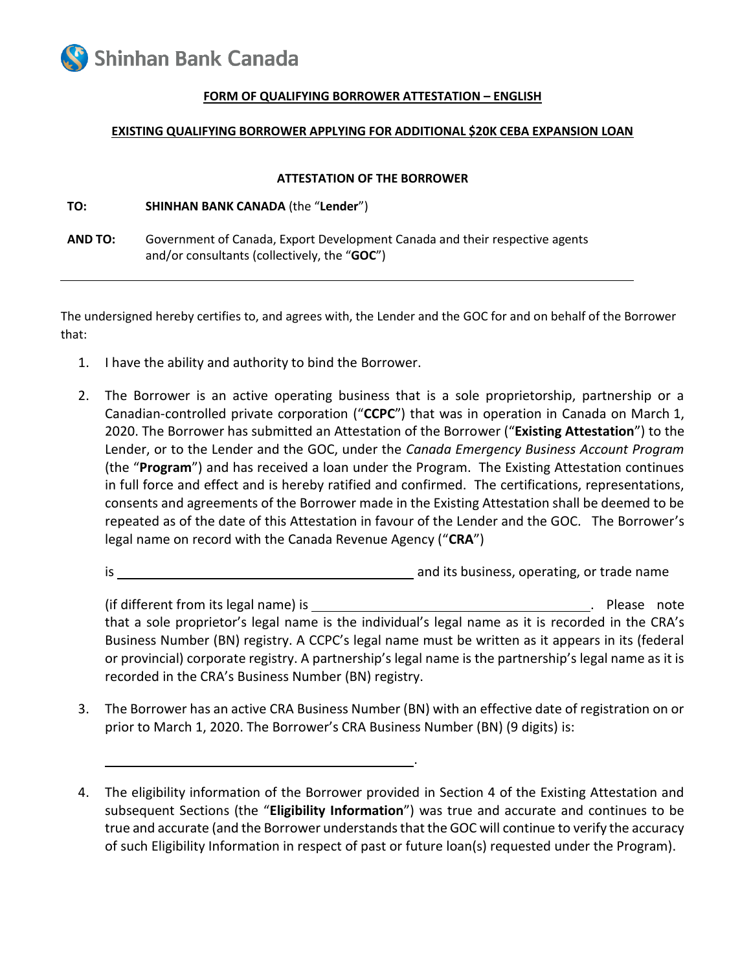

#### **FORM OF QUALIFYING BORROWER ATTESTATION – ENGLISH**

#### **EXISTING QUALIFYING BORROWER APPLYING FOR ADDITIONAL \$20K CEBA EXPANSION LOAN**

#### **ATTESTATION OF THE BORROWER**

**TO: SHINHAN BANK CANADA** (the "**Lender**")

**AND TO:** Government of Canada, Export Development Canada and their respective agents and/or consultants (collectively, the "**GOC**")

The undersigned hereby certifies to, and agrees with, the Lender and the GOC for and on behalf of the Borrower that:

- 1. I have the ability and authority to bind the Borrower.
- 2. The Borrower is an active operating business that is a sole proprietorship, partnership or a Canadian-controlled private corporation ("**CCPC**") that was in operation in Canada on March 1, 2020. The Borrower has submitted an Attestation of the Borrower ("**Existing Attestation**") to the Lender, or to the Lender and the GOC, under the *Canada Emergency Business Account Program* (the "**Program**") and has received a loan under the Program. The Existing Attestation continues in full force and effect and is hereby ratified and confirmed. The certifications, representations, consents and agreements of the Borrower made in the Existing Attestation shall be deemed to be repeated as of the date of this Attestation in favour of the Lender and the GOC. The Borrower's legal name on record with the Canada Revenue Agency ("**CRA**")

is and its business, operating, or trade name

(if different from its legal name) is . Please note that a sole proprietor's legal name is the individual's legal name as it is recorded in the CRA's Business Number (BN) registry. A CCPC's legal name must be written as it appears in its (federal or provincial) corporate registry. A partnership's legal name is the partnership's legal name as it is recorded in the CRA's Business Number (BN) registry.

3. The Borrower has an active CRA Business Number (BN) with an effective date of registration on or prior to March 1, 2020. The Borrower's CRA Business Number (BN) (9 digits) is:

.

4. The eligibility information of the Borrower provided in Section 4 of the Existing Attestation and subsequent Sections (the "**Eligibility Information**") was true and accurate and continues to be true and accurate (and the Borrower understands that the GOC will continue to verify the accuracy of such Eligibility Information in respect of past or future loan(s) requested under the Program).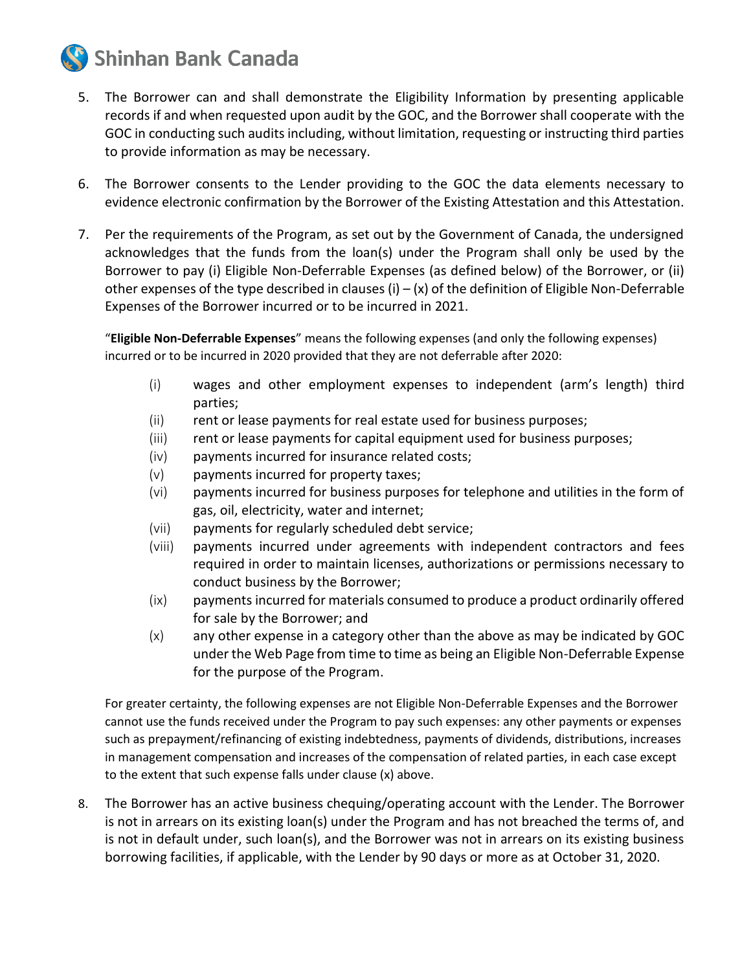

- 5. The Borrower can and shall demonstrate the Eligibility Information by presenting applicable records if and when requested upon audit by the GOC, and the Borrower shall cooperate with the GOC in conducting such audits including, without limitation, requesting or instructing third parties to provide information as may be necessary.
- 6. The Borrower consents to the Lender providing to the GOC the data elements necessary to evidence electronic confirmation by the Borrower of the Existing Attestation and this Attestation.
- 7. Per the requirements of the Program, as set out by the Government of Canada, the undersigned acknowledges that the funds from the loan(s) under the Program shall only be used by the Borrower to pay (i) Eligible Non-Deferrable Expenses (as defined below) of the Borrower, or (ii) other expenses of the type described in clauses  $(i) - (x)$  of the definition of Eligible Non-Deferrable Expenses of the Borrower incurred or to be incurred in 2021.

"**Eligible Non-Deferrable Expenses**" means the following expenses (and only the following expenses) incurred or to be incurred in 2020 provided that they are not deferrable after 2020:

- (i) wages and other employment expenses to independent (arm's length) third parties;
- (ii) rent or lease payments for real estate used for business purposes;
- (iii) rent or lease payments for capital equipment used for business purposes;
- (iv) payments incurred for insurance related costs;
- (v) payments incurred for property taxes;
- (vi) payments incurred for business purposes for telephone and utilities in the form of gas, oil, electricity, water and internet;
- (vii) payments for regularly scheduled debt service;
- (viii) payments incurred under agreements with independent contractors and fees required in order to maintain licenses, authorizations or permissions necessary to conduct business by the Borrower;
- (ix) payments incurred for materials consumed to produce a product ordinarily offered for sale by the Borrower; and
- (x) any other expense in a category other than the above as may be indicated by GOC under the Web Page from time to time as being an Eligible Non-Deferrable Expense for the purpose of the Program.

For greater certainty, the following expenses are not Eligible Non-Deferrable Expenses and the Borrower cannot use the funds received under the Program to pay such expenses: any other payments or expenses such as prepayment/refinancing of existing indebtedness, payments of dividends, distributions, increases in management compensation and increases of the compensation of related parties, in each case except to the extent that such expense falls under clause (x) above.

8. The Borrower has an active business chequing/operating account with the Lender. The Borrower is not in arrears on its existing loan(s) under the Program and has not breached the terms of, and is not in default under, such loan(s), and the Borrower was not in arrears on its existing business borrowing facilities, if applicable, with the Lender by 90 days or more as at October 31, 2020.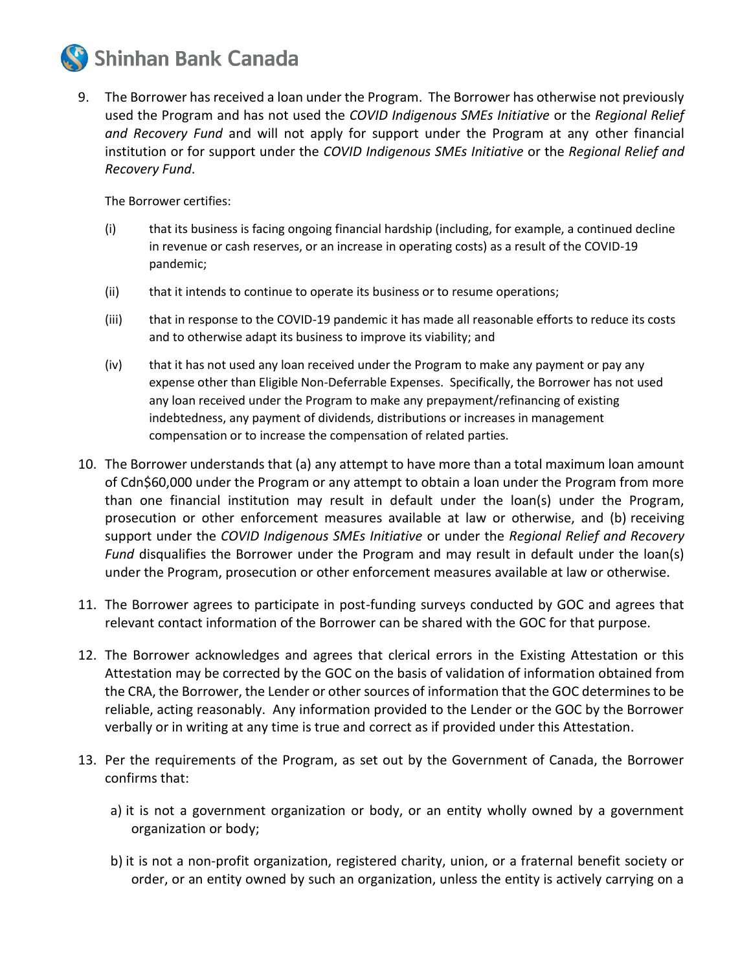

9. The Borrower has received a loan under the Program. The Borrower has otherwise not previously used the Program and has not used the *COVID Indigenous SMEs Initiative* or the *Regional Relief and Recovery Fund* and will not apply for support under the Program at any other financial institution or for support under the *COVID Indigenous SMEs Initiative* or the *Regional Relief and Recovery Fund*.

The Borrower certifies:

- (i) that its business is facing ongoing financial hardship (including, for example, a continued decline in revenue or cash reserves, or an increase in operating costs) as a result of the COVID-19 pandemic;
- (ii) that it intends to continue to operate its business or to resume operations;
- (iii) that in response to the COVID-19 pandemic it has made all reasonable efforts to reduce its costs and to otherwise adapt its business to improve its viability; and
- (iv) that it has not used any loan received under the Program to make any payment or pay any expense other than Eligible Non-Deferrable Expenses. Specifically, the Borrower has not used any loan received under the Program to make any prepayment/refinancing of existing indebtedness, any payment of dividends, distributions or increases in management compensation or to increase the compensation of related parties.
- 10. The Borrower understands that (a) any attempt to have more than a total maximum loan amount of Cdn\$60,000 under the Program or any attempt to obtain a loan under the Program from more than one financial institution may result in default under the loan(s) under the Program, prosecution or other enforcement measures available at law or otherwise, and (b) receiving support under the *COVID Indigenous SMEs Initiative* or under the *Regional Relief and Recovery Fund* disqualifies the Borrower under the Program and may result in default under the loan(s) under the Program, prosecution or other enforcement measures available at law or otherwise.
- 11. The Borrower agrees to participate in post-funding surveys conducted by GOC and agrees that relevant contact information of the Borrower can be shared with the GOC for that purpose.
- 12. The Borrower acknowledges and agrees that clerical errors in the Existing Attestation or this Attestation may be corrected by the GOC on the basis of validation of information obtained from the CRA, the Borrower, the Lender or other sources of information that the GOC determines to be reliable, acting reasonably. Any information provided to the Lender or the GOC by the Borrower verbally or in writing at any time is true and correct as if provided under this Attestation.
- 13. Per the requirements of the Program, as set out by the Government of Canada, the Borrower confirms that:
	- a) it is not a government organization or body, or an entity wholly owned by a government organization or body;
	- b) it is not a non-profit organization, registered charity, union, or a fraternal benefit society or order, or an entity owned by such an organization, unless the entity is actively carrying on a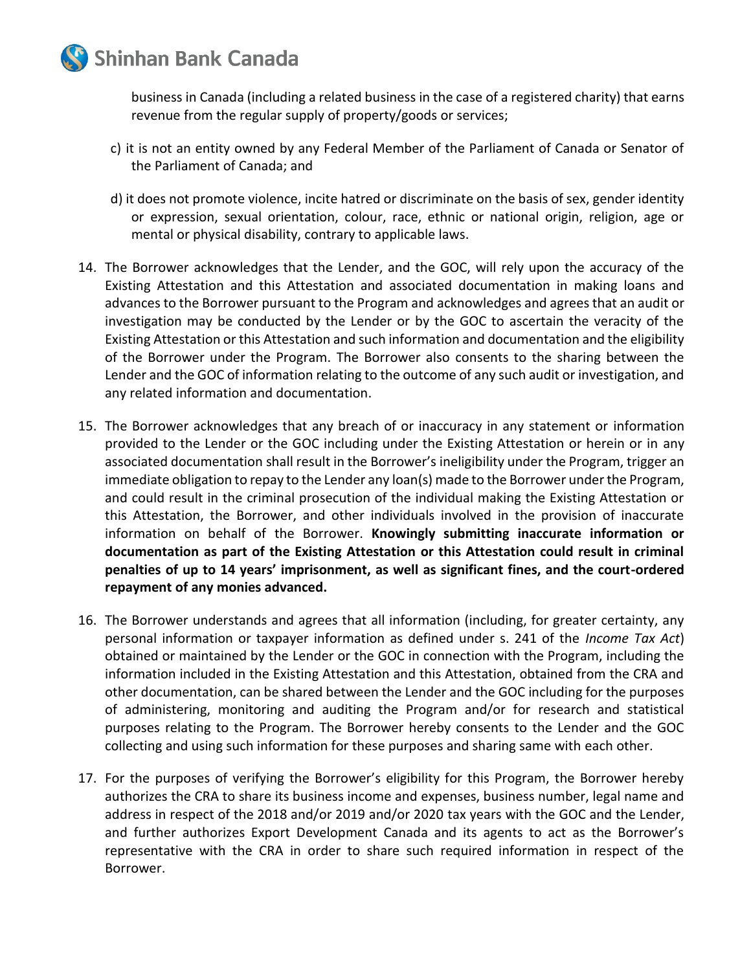

business in Canada (including a related business in the case of a registered charity) that earns revenue from the regular supply of property/goods or services;

- c) it is not an entity owned by any Federal Member of the Parliament of Canada or Senator of the Parliament of Canada; and
- d) it does not promote violence, incite hatred or discriminate on the basis of sex, gender identity or expression, sexual orientation, colour, race, ethnic or national origin, religion, age or mental or physical disability, contrary to applicable laws.
- 14. The Borrower acknowledges that the Lender, and the GOC, will rely upon the accuracy of the Existing Attestation and this Attestation and associated documentation in making loans and advances to the Borrower pursuant to the Program and acknowledges and agrees that an audit or investigation may be conducted by the Lender or by the GOC to ascertain the veracity of the Existing Attestation or this Attestation and such information and documentation and the eligibility of the Borrower under the Program. The Borrower also consents to the sharing between the Lender and the GOC of information relating to the outcome of any such audit or investigation, and any related information and documentation.
- 15. The Borrower acknowledges that any breach of or inaccuracy in any statement or information provided to the Lender or the GOC including under the Existing Attestation or herein or in any associated documentation shall result in the Borrower's ineligibility under the Program, trigger an immediate obligation to repay to the Lender any loan(s) made to the Borrower under the Program, and could result in the criminal prosecution of the individual making the Existing Attestation or this Attestation, the Borrower, and other individuals involved in the provision of inaccurate information on behalf of the Borrower. **Knowingly submitting inaccurate information or documentation as part of the Existing Attestation or this Attestation could result in criminal penalties of up to 14 years' imprisonment, as well as significant fines, and the court-ordered repayment of any monies advanced.**
- 16. The Borrower understands and agrees that all information (including, for greater certainty, any personal information or taxpayer information as defined under s. 241 of the *Income Tax Act*) obtained or maintained by the Lender or the GOC in connection with the Program, including the information included in the Existing Attestation and this Attestation, obtained from the CRA and other documentation, can be shared between the Lender and the GOC including for the purposes of administering, monitoring and auditing the Program and/or for research and statistical purposes relating to the Program. The Borrower hereby consents to the Lender and the GOC collecting and using such information for these purposes and sharing same with each other.
- 17. For the purposes of verifying the Borrower's eligibility for this Program, the Borrower hereby authorizes the CRA to share its business income and expenses, business number, legal name and address in respect of the 2018 and/or 2019 and/or 2020 tax years with the GOC and the Lender, and further authorizes Export Development Canada and its agents to act as the Borrower's representative with the CRA in order to share such required information in respect of the Borrower.